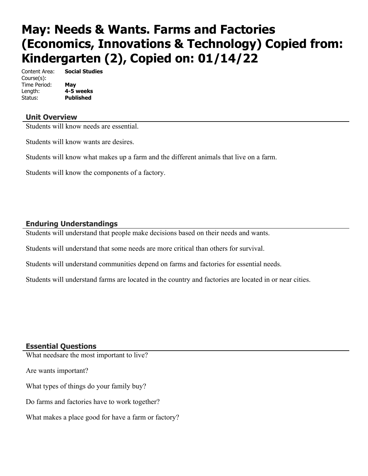# **May: Needs & Wants. Farms and Factories (Economics, Innovations & Technology) Copied from: Kindergarten (2), Copied on: 01/14/22**

Content Area: **Social Studies** Course(s): Time Period: **May** Length: **4-5 weeks** Status: **Published**

#### **Unit Overview**

Students will know needs are essential.

Students will know wants are desires.

Students will know what makes up a farm and the different animals that live on a farm.

Students will know the components of a factory.

#### **Enduring Understandings**

Students will understand that people make decisions based on their needs and wants.

Students will understand that some needs are more critical than others for survival.

Students will understand communities depend on farms and factories for essential needs.

Students will understand farms are located in the country and factories are located in or near cities.

#### **Essential Questions**

What needsare the most important to live?

Are wants important?

What types of things do your family buy?

Do farms and factories have to work together?

What makes a place good for have a farm or factory?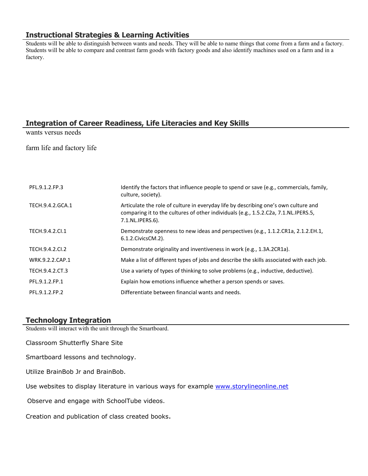#### **Instructional Strategies & Learning Activities**

Students will be able to distinguish between wants and needs. They will be able to name things that come from a farm and a factory. Students will be able to compare and contrast farm goods with factory goods and also identify machines used on a farm and in a factory.

## **Integration of Career Readiness, Life Literacies and Key Skills**

wants versus needs

farm life and factory life

| PFL.9.1.2.FP.3   | Identify the factors that influence people to spend or save (e.g., commercials, family,<br>culture, society).                                                                                  |
|------------------|------------------------------------------------------------------------------------------------------------------------------------------------------------------------------------------------|
| TECH.9.4.2.GCA.1 | Articulate the role of culture in everyday life by describing one's own culture and<br>comparing it to the cultures of other individuals (e.g., 1.5.2.C2a, 7.1.NL.IPERS.5,<br>7.1.NL.IPERS.6). |
| TECH.9.4.2.Cl.1  | Demonstrate openness to new ideas and perspectives (e.g., 1.1.2.CR1a, 2.1.2.EH.1,<br>6.1.2. Civics CM. 2).                                                                                     |
| TECH.9.4.2.CI.2  | Demonstrate originality and inventiveness in work (e.g., 1.3A.2CR1a).                                                                                                                          |
| WRK.9.2.2.CAP.1  | Make a list of different types of jobs and describe the skills associated with each job.                                                                                                       |
| TECH.9.4.2.CT.3  | Use a variety of types of thinking to solve problems (e.g., inductive, deductive).                                                                                                             |
| PFL.9.1.2.FP.1   | Explain how emotions influence whether a person spends or saves.                                                                                                                               |
| PFL.9.1.2.FP.2   | Differentiate between financial wants and needs.                                                                                                                                               |

#### **Technology Integration**

Students will interact with the unit through the Smartboard.

Classroom Shutterfly Share Site

Smartboard lessons and technology.

Utilize BrainBob Jr and BrainBob.

Use websites to display literature in various ways for example [www.storylineonline.net](http://www.storylineonline.net/)

Observe and engage with SchoolTube videos.

Creation and publication of class created books.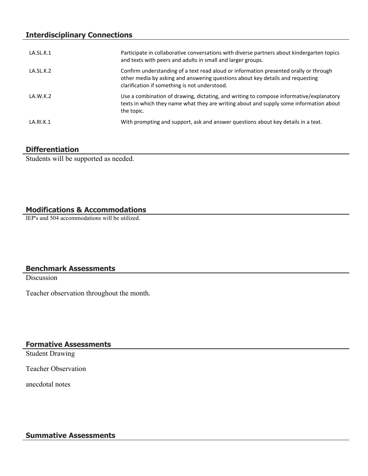#### **Interdisciplinary Connections**

| LA.SL.K.1 | Participate in collaborative conversations with diverse partners about kindergarten topics<br>and texts with peers and adults in small and larger groups.                                                                |
|-----------|--------------------------------------------------------------------------------------------------------------------------------------------------------------------------------------------------------------------------|
| LA.SL.K.2 | Confirm understanding of a text read aloud or information presented orally or through<br>other media by asking and answering questions about key details and requesting<br>clarification if something is not understood. |
| LA.W.K.2  | Use a combination of drawing, dictating, and writing to compose informative/explanatory<br>texts in which they name what they are writing about and supply some information about<br>the topic.                          |
| LA.RI.K.1 | With prompting and support, ask and answer questions about key details in a text.                                                                                                                                        |

#### **Differentiation**

Students will be supported as needed.

# **Modifications & Accommodations**

IEP's and 504 accommodations will be utilized.

# **Benchmark Assessments**

**Discussion** 

Teacher observation throughout the month.

## **Formative Assessments**

Student Drawing

Teacher Observation

anecdotal notes

#### **Summative Assessments**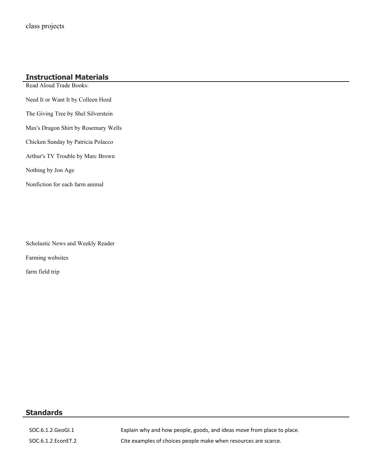# **Instructional Materials**

Read Aloud Trade Books: Need It or Want It by Colleen Hord The Giving Tree by Shel Silverstein Max's Dragon Shirt by Rosemary Wells Chicken Sunday by Patricia Polacco Arthur's TV Trouble by Marc Brown Nothing by Jon Age Nonfiction for each farm animal

Scholastic News and Weekly Reader

Farming websites

farm field trip

# **Standards**

SOC.6.1.2.GeoGI.1 Explain why and how people, goods, and ideas move from place to place. SOC.6.1.2.EconET.2 Cite examples of choices people make when resources are scarce.